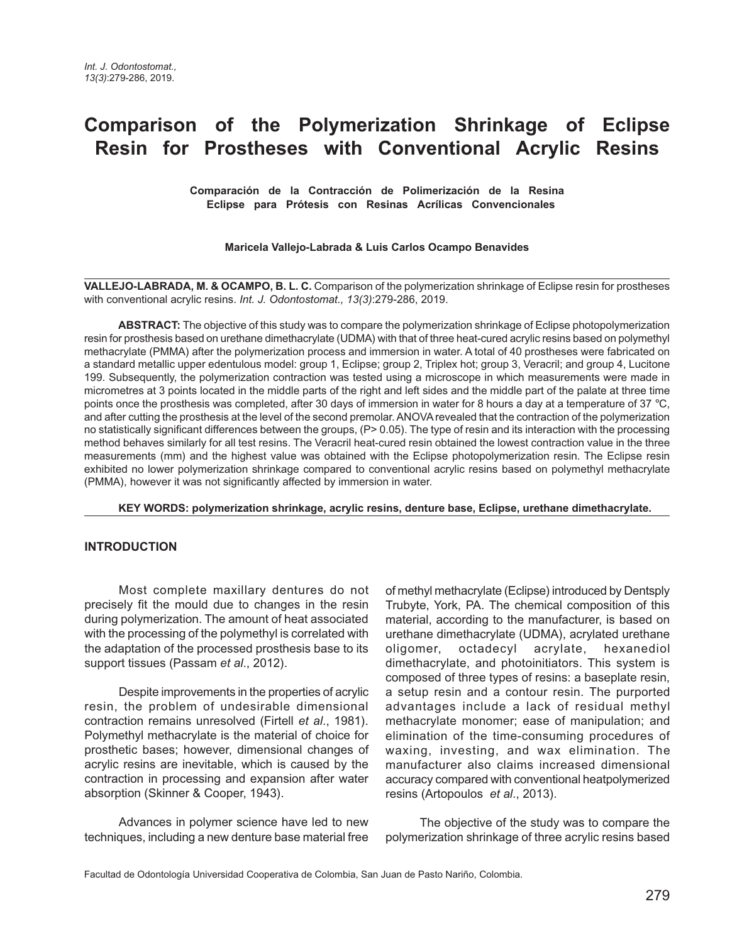# **Comparison of the Polymerization Shrinkage of Eclipse Resin for Prostheses with Conventional Acrylic Resins**

**Comparación de la Contracción de Polimerización de la Resina Eclipse para Prótesis con Resinas Acrílicas Convencionales** 

#### **Maricela Vallejo-Labrada & Luis Carlos Ocampo Benavides**

**VALLEJO-LABRADA, M. & OCAMPO, B. L. C.** Comparison of the polymerization shrinkage of Eclipse resin for prostheses with conventional acrylic resins. *Int. J. Odontostomat., 13(3)*:279-286, 2019.

**ABSTRACT:** The objective of this study was to compare the polymerization shrinkage of Eclipse photopolymerization resin for prosthesis based on urethane dimethacrylate (UDMA) with that of three heat-cured acrylic resins based on polymethyl methacrylate (PMMA) after the polymerization process and immersion in water. A total of 40 prostheses were fabricated on a standard metallic upper edentulous model: group 1, Eclipse; group 2, Triplex hot; group 3, Veracril; and group 4, Lucitone 199. Subsequently, the polymerization contraction was tested using a microscope in which measurements were made in micrometres at 3 points located in the middle parts of the right and left sides and the middle part of the palate at three time points once the prosthesis was completed, after 30 days of immersion in water for 8 hours a day at a temperature of 37 °C, and after cutting the prosthesis at the level of the second premolar. ANOVA revealed that the contraction of the polymerization no statistically significant differences between the groups, (P> 0.05). The type of resin and its interaction with the processing method behaves similarly for all test resins. The Veracril heat-cured resin obtained the lowest contraction value in the three measurements (mm) and the highest value was obtained with the Eclipse photopolymerization resin. The Eclipse resin exhibited no lower polymerization shrinkage compared to conventional acrylic resins based on polymethyl methacrylate (PMMA), however it was not significantly affected by immersion in water.

**KEY WORDS: polymerization shrinkage, acrylic resins, denture base, Eclipse, urethane dimethacrylate.**

#### **INTRODUCTION**

Most complete maxillary dentures do not precisely fit the mould due to changes in the resin during polymerization. The amount of heat associated with the processing of the polymethyl is correlated with the adaptation of the processed prosthesis base to its support tissues (Passam *et al*., 2012).

Despite improvements in the properties of acrylic resin, the problem of undesirable dimensional contraction remains unresolved (Firtell *et al*., 1981). Polymethyl methacrylate is the material of choice for prosthetic bases; however, dimensional changes of acrylic resins are inevitable, which is caused by the contraction in processing and expansion after water absorption (Skinner & Cooper, 1943).

Advances in polymer science have led to new techniques, including a new denture base material free of methyl methacrylate (Eclipse) introduced by Dentsply Trubyte, York, PA. The chemical composition of this material, according to the manufacturer, is based on urethane dimethacrylate (UDMA), acrylated urethane oligomer, octadecyl acrylate, hexanediol dimethacrylate, and photoinitiators. This system is composed of three types of resins: a baseplate resin, a setup resin and a contour resin. The purported advantages include a lack of residual methyl methacrylate monomer; ease of manipulation; and elimination of the time-consuming procedures of waxing, investing, and wax elimination. The manufacturer also claims increased dimensional accuracy compared with conventional heatpolymerized resins (Artopoulos *et al*., 2013).

The objective of the study was to compare the polymerization shrinkage of three acrylic resins based

Facultad de Odontología Universidad Cooperativa de Colombia, San Juan de Pasto Nariño, Colombia.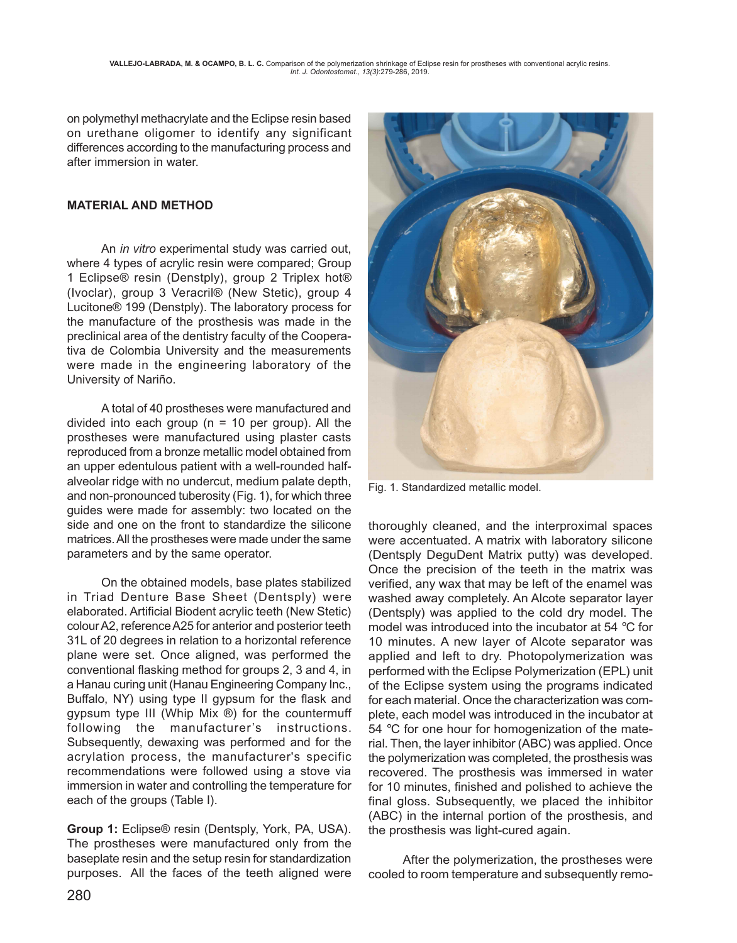on polymethyl methacrylate and the Eclipse resin based on urethane oligomer to identify any significant differences according to the manufacturing process and after immersion in water.

## **MATERIAL AND METHOD**

An *in vitro* experimental study was carried out, where 4 types of acrylic resin were compared; Group 1 Eclipse® resin (Denstply), group 2 Triplex hot® (Ivoclar), group 3 Veracril® (New Stetic), group 4 Lucitone® 199 (Denstply). The laboratory process for the manufacture of the prosthesis was made in the preclinical area of the dentistry faculty of the Cooperativa de Colombia University and the measurements were made in the engineering laboratory of the University of Nariño.

A total of 40 prostheses were manufactured and divided into each group ( $n = 10$  per group). All the prostheses were manufactured using plaster casts reproduced from a bronze metallic model obtained from an upper edentulous patient with a well-rounded halfalveolar ridge with no undercut, medium palate depth, and non-pronounced tuberosity (Fig. 1), for which three guides were made for assembly: two located on the side and one on the front to standardize the silicone matrices. All the prostheses were made under the same parameters and by the same operator.

On the obtained models, base plates stabilized in Triad Denture Base Sheet (Dentsply) were elaborated. Artificial Biodent acrylic teeth (New Stetic) colour A2, reference A25 for anterior and posterior teeth 31L of 20 degrees in relation to a horizontal reference plane were set. Once aligned, was performed the conventional flasking method for groups 2, 3 and 4, in a Hanau curing unit (Hanau Engineering Company Inc., Buffalo, NY) using type II gypsum for the flask and gypsum type III (Whip Mix ®) for the countermuff following the manufacturer's instructions. Subsequently, dewaxing was performed and for the acrylation process, the manufacturer's specific recommendations were followed using a stove via immersion in water and controlling the temperature for each of the groups (Table I).

**Group 1:** Eclipse® resin (Dentsply, York, PA, USA). The prostheses were manufactured only from the baseplate resin and the setup resin for standardization purposes. All the faces of the teeth aligned were



Fig. 1. Standardized metallic model.

thoroughly cleaned, and the interproximal spaces were accentuated. A matrix with laboratory silicone (Dentsply DeguDent Matrix putty) was developed. Once the precision of the teeth in the matrix was verified, any wax that may be left of the enamel was washed away completely. An Alcote separator layer (Dentsply) was applied to the cold dry model. The model was introduced into the incubator at 54 °C for 10 minutes. A new layer of Alcote separator was applied and left to dry. Photopolymerization was performed with the Eclipse Polymerization (EPL) unit of the Eclipse system using the programs indicated for each material. Once the characterization was complete, each model was introduced in the incubator at 54 °C for one hour for homogenization of the material. Then, the layer inhibitor (ABC) was applied. Once the polymerization was completed, the prosthesis was recovered. The prosthesis was immersed in water for 10 minutes, finished and polished to achieve the final gloss. Subsequently, we placed the inhibitor (ABC) in the internal portion of the prosthesis, and the prosthesis was light-cured again.

After the polymerization, the prostheses were cooled to room temperature and subsequently remo-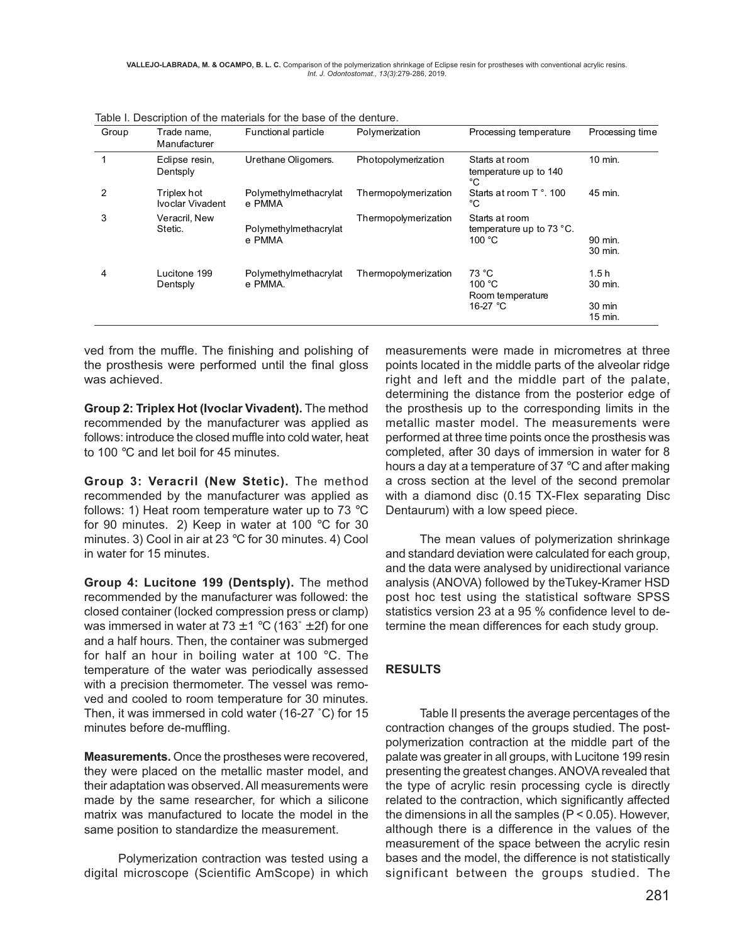| Group | Trade name,<br>Manufacturer     | Functional particle              | Polymerization       | Processing temperature                                   | Processing time                      |
|-------|---------------------------------|----------------------------------|----------------------|----------------------------------------------------------|--------------------------------------|
|       | Edipse resin,<br>Dentsply       | Urethane Oligomers.              | Photopolymerization  | Starts at room<br>temperature up to 140<br>°C            | 10 min.                              |
| 2     | Triplex hot<br>Ivoclar Vivadent | Polymethylmethacrylat<br>e PMMA  | Thermopolymerization | Starts at room T ° 100<br>°C                             | 45 min.                              |
| 3     | Veracril, New<br>Stetic.        | Polymethylmethacrylat<br>e PMMA  | Thermopolymerization | Starts at room<br>temperature up to 73 °C.<br>100 °C     | 90 min.<br>30 min.                   |
| 4     | Lucitone 199<br>Dentsply        | Polymethylmethacrylat<br>e PMMA. | Thermopolymerization | 73 °C<br>100 $\degree$ C<br>Room temperature<br>16-27 °C | 1.5h<br>30 min.<br>30 min<br>15 min. |

Table I. Description of the materials for the base of the denture.

ved from the muffle. The finishing and polishing of the prosthesis were performed until the final gloss was achieved.

**Group 2: Triplex Hot (Ivoclar Vivadent).** The method recommended by the manufacturer was applied as follows: introduce the closed muffle into cold water, heat to 100 °C and let boil for 45 minutes.

**Group 3: Veracril (New Stetic).** The method recommended by the manufacturer was applied as follows: 1) Heat room temperature water up to 73 °C for 90 minutes. 2) Keep in water at 100 °C for 30 minutes. 3) Cool in air at 23 °C for 30 minutes. 4) Cool in water for 15 minutes.

**Group 4: Lucitone 199 (Dentsply).** The method recommended by the manufacturer was followed: the closed container (locked compression press or clamp) was immersed in water at  $73 \pm 1$  °C (163°  $\pm$  2f) for one and a half hours. Then, the container was submerged for half an hour in boiling water at 100 °C. The temperature of the water was periodically assessed with a precision thermometer. The vessel was removed and cooled to room temperature for 30 minutes. Then, it was immersed in cold water (16-27 ˚C) for 15 minutes before de-muffling.

**Measurements.** Once the prostheses were recovered, they were placed on the metallic master model, and their adaptation was observed. All measurements were made by the same researcher, for which a silicone matrix was manufactured to locate the model in the same position to standardize the measurement.

Polymerization contraction was tested using a digital microscope (Scientific AmScope) in which measurements were made in micrometres at three points located in the middle parts of the alveolar ridge right and left and the middle part of the palate, determining the distance from the posterior edge of the prosthesis up to the corresponding limits in the metallic master model. The measurements were performed at three time points once the prosthesis was completed, after 30 days of immersion in water for 8 hours a day at a temperature of 37 °C and after making a cross section at the level of the second premolar with a diamond disc (0.15 TX-Flex separating Disc Dentaurum) with a low speed piece.

The mean values of polymerization shrinkage and standard deviation were calculated for each group, and the data were analysed by unidirectional variance analysis (ANOVA) followed by theTukey-Kramer HSD post hoc test using the statistical software SPSS statistics version 23 at a 95 % confidence level to determine the mean differences for each study group.

### **RESULTS**

Table II presents the average percentages of the contraction changes of the groups studied. The postpolymerization contraction at the middle part of the palate was greater in all groups, with Lucitone 199 resin presenting the greatest changes. ANOVA revealed that the type of acrylic resin processing cycle is directly related to the contraction, which significantly affected the dimensions in all the samples (P < 0.05). However, although there is a difference in the values of the measurement of the space between the acrylic resin bases and the model, the difference is not statistically significant between the groups studied. The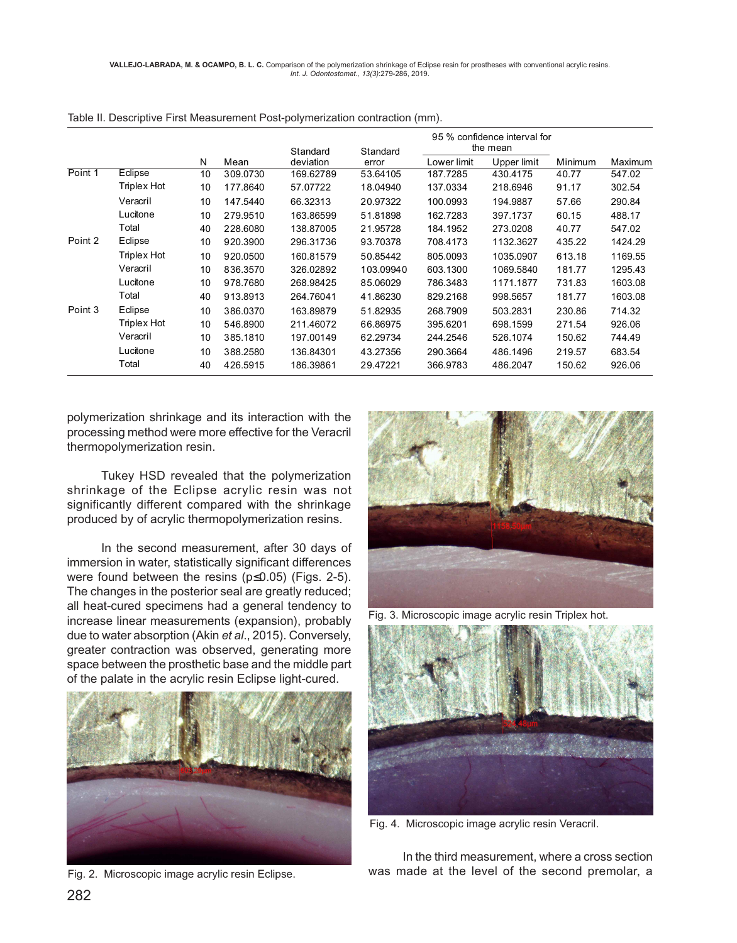|         |             |    |          | Standard  | Standard  |             | 95 % confidence interval for<br>the mean |         |         |
|---------|-------------|----|----------|-----------|-----------|-------------|------------------------------------------|---------|---------|
|         |             | N  | Mean     | deviation | error     | Lower limit | Upper limit                              | Minimum | Maximum |
| Point 1 | Eclipse     | 10 | 309.0730 | 169.62789 | 53.64105  | 187.7285    | 430.4175                                 | 40.77   | 547.02  |
|         | Triplex Hot | 10 | 177.8640 | 57.07722  | 18.04940  | 137.0334    | 218.6946                                 | 91.17   | 302.54  |
|         | Veracril    | 10 | 147.5440 | 66.32313  | 20.97322  | 100.0993    | 194.9887                                 | 57.66   | 290.84  |
|         | Lucitone    | 10 | 279.9510 | 163.86599 | 51.81898  | 162.7283    | 397.1737                                 | 60.15   | 488.17  |
|         | Total       | 40 | 228.6080 | 138.87005 | 21.95728  | 184.1952    | 273.0208                                 | 40.77   | 547.02  |
| Point 2 | Eclipse     | 10 | 920.3900 | 296.31736 | 93.70378  | 708.4173    | 1132.3627                                | 435.22  | 1424.29 |
|         | Triplex Hot | 10 | 920.0500 | 160.81579 | 50.85442  | 805.0093    | 1035.0907                                | 613.18  | 1169.55 |
|         | Veracril    | 10 | 836.3570 | 326.02892 | 103.09940 | 603.1300    | 1069.5840                                | 181.77  | 1295.43 |
|         | Lucitone    | 10 | 978.7680 | 268.98425 | 85.06029  | 786.3483    | 1171.1877                                | 731.83  | 1603.08 |
|         | Total       | 40 | 913.8913 | 264.76041 | 41.86230  | 829.2168    | 998.5657                                 | 181.77  | 1603.08 |
| Point 3 | Eclipse     | 10 | 386.0370 | 163.89879 | 51.82935  | 268.7909    | 503.2831                                 | 230.86  | 714.32  |
|         | Triplex Hot | 10 | 546.8900 | 211.46072 | 66.86975  | 395.6201    | 698.1599                                 | 271.54  | 926.06  |
|         | Veracril    | 10 | 385.1810 | 197.00149 | 62.29734  | 244.2546    | 526.1074                                 | 150.62  | 744.49  |
|         | Lucitone    | 10 | 388.2580 | 136.84301 | 43.27356  | 290.3664    | 486.1496                                 | 219.57  | 683.54  |
|         | Total       | 40 | 426.5915 | 186.39861 | 29.47221  | 366.9783    | 486.2047                                 | 150.62  | 926.06  |

Table II. Descriptive First Measurement Post-polymerization contraction (mm).

polymerization shrinkage and its interaction with the processing method were more effective for the Veracril thermopolymerization resin.

Tukey HSD revealed that the polymerization shrinkage of the Eclipse acrylic resin was not significantly different compared with the shrinkage produced by of acrylic thermopolymerization resins.

In the second measurement, after 30 days of immersion in water, statistically significant differences were found between the resins (p≤0.05) (Figs. 2-5). The changes in the posterior seal are greatly reduced; all heat-cured specimens had a general tendency to increase linear measurements (expansion), probably due to water absorption (Akin *et al*., 2015). Conversely, greater contraction was observed, generating more space between the prosthetic base and the middle part of the palate in the acrylic resin Eclipse light-cured.



Fig. 2. Microscopic image acrylic resin Eclipse.



Fig. 3. Microscopic image acrylic resin Triplex hot.



Fig. 4. Microscopic image acrylic resin Veracril.

In the third measurement, where a cross section was made at the level of the second premolar, a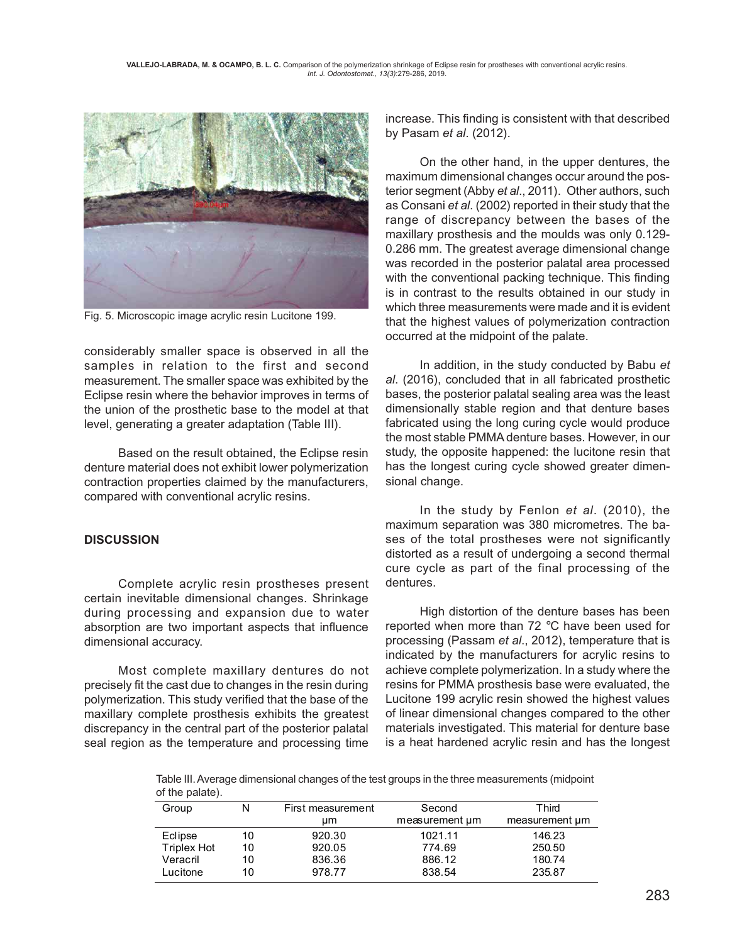

Fig. 5. Microscopic image acrylic resin Lucitone 199.

considerably smaller space is observed in all the samples in relation to the first and second measurement. The smaller space was exhibited by the Eclipse resin where the behavior improves in terms of the union of the prosthetic base to the model at that level, generating a greater adaptation (Table III).

Based on the result obtained, the Eclipse resin denture material does not exhibit lower polymerization contraction properties claimed by the manufacturers, compared with conventional acrylic resins.

### **DISCUSSION**

Complete acrylic resin prostheses present certain inevitable dimensional changes. Shrinkage during processing and expansion due to water absorption are two important aspects that influence dimensional accuracy.

Most complete maxillary dentures do not precisely fit the cast due to changes in the resin during polymerization. This study verified that the base of the maxillary complete prosthesis exhibits the greatest discrepancy in the central part of the posterior palatal seal region as the temperature and processing time increase. This finding is consistent with that described by Pasam *et al*. (2012).

On the other hand, in the upper dentures, the maximum dimensional changes occur around the posterior segment (Abby *et al*., 2011). Other authors, such as Consani *et al*. (2002) reported in their study that the range of discrepancy between the bases of the maxillary prosthesis and the moulds was only 0.129- 0.286 mm. The greatest average dimensional change was recorded in the posterior palatal area processed with the conventional packing technique. This finding is in contrast to the results obtained in our study in which three measurements were made and it is evident that the highest values of polymerization contraction occurred at the midpoint of the palate.

In addition, in the study conducted by Babu *et al*. (2016), concluded that in all fabricated prosthetic bases, the posterior palatal sealing area was the least dimensionally stable region and that denture bases fabricated using the long curing cycle would produce the most stable PMMA denture bases. However, in our study, the opposite happened: the lucitone resin that has the longest curing cycle showed greater dimensional change.

In the study by Fenlon *et al*. (2010), the maximum separation was 380 micrometres. The bases of the total prostheses were not significantly distorted as a result of undergoing a second thermal cure cycle as part of the final processing of the dentures.

High distortion of the denture bases has been reported when more than 72 °C have been used for processing (Passam *et al*., 2012), temperature that is indicated by the manufacturers for acrylic resins to achieve complete polymerization. In a study where the resins for PMMA prosthesis base were evaluated, the Lucitone 199 acrylic resin showed the highest values of linear dimensional changes compared to the other materials investigated. This material for denture base is a heat hardened acrylic resin and has the longest

Table III. Average dimensional changes of the test groups in the three measurements (midpoint of the palate).

| Group              | N  | First measurement<br>um | Second<br>measurement um | Third<br>measurement um |
|--------------------|----|-------------------------|--------------------------|-------------------------|
| Eclipse            | 10 | 920.30                  | 1021.11                  | 146.23                  |
| <b>Triplex Hot</b> | 10 | 920.05                  | 774.69                   | 250.50                  |
| Veracril           | 10 | 836.36                  | 886.12                   | 180.74                  |
| Lucitone           | 10 | 978.77                  | 838.54                   | 235.87                  |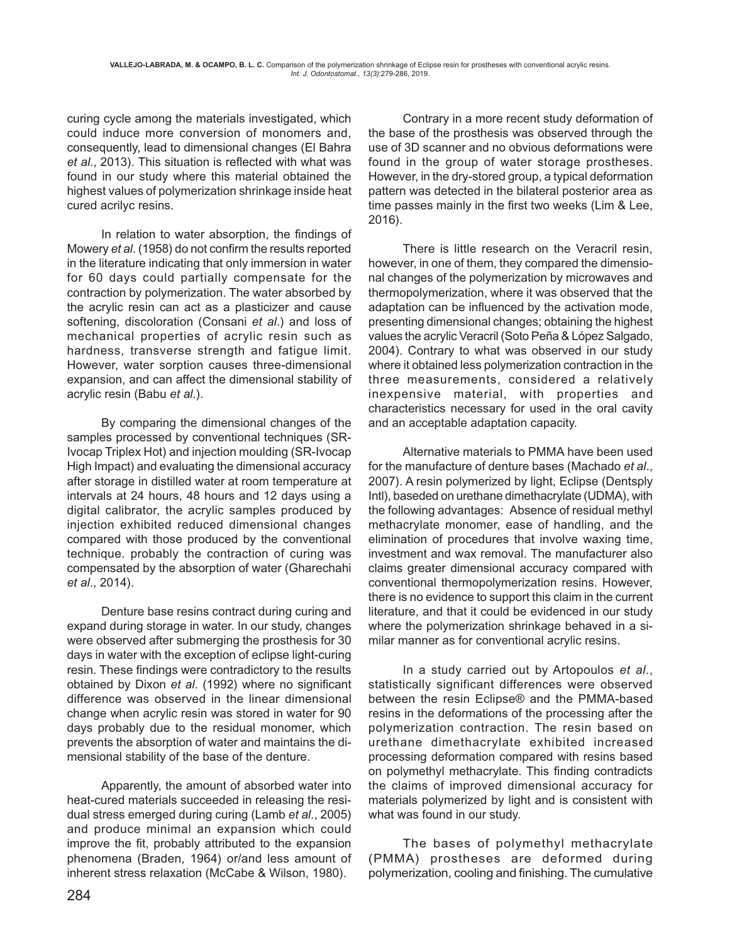curing cycle among the materials investigated, which could induce more conversion of monomers and, consequently, lead to dimensional changes (El Bahra *et al*., 2013). This situation is reflected with what was found in our study where this material obtained the highest values of polymerization shrinkage inside heat cured acrilyc resins.

In relation to water absorption, the findings of Mowery *et al*. (1958) do not confirm the results reported in the literature indicating that only immersion in water for 60 days could partially compensate for the contraction by polymerization. The water absorbed by the acrylic resin can act as a plasticizer and cause softening, discoloration (Consani *et al*.) and loss of mechanical properties of acrylic resin such as hardness, transverse strength and fatigue limit. However, water sorption causes three-dimensional expansion, and can affect the dimensional stability of acrylic resin (Babu *et al*.).

By comparing the dimensional changes of the samples processed by conventional techniques (SR-Ivocap Triplex Hot) and injection moulding (SR-Ivocap High Impact) and evaluating the dimensional accuracy after storage in distilled water at room temperature at intervals at 24 hours, 48 hours and 12 days using a digital calibrator, the acrylic samples produced by injection exhibited reduced dimensional changes compared with those produced by the conventional technique. probably the contraction of curing was compensated by the absorption of water (Gharechahi *et al*., 2014).

Denture base resins contract during curing and expand during storage in water. In our study, changes were observed after submerging the prosthesis for 30 days in water with the exception of eclipse light-curing resin. These findings were contradictory to the results obtained by Dixon *et al*. (1992) where no significant difference was observed in the linear dimensional change when acrylic resin was stored in water for 90 days probably due to the residual monomer, which prevents the absorption of water and maintains the dimensional stability of the base of the denture.

Apparently, the amount of absorbed water into heat-cured materials succeeded in releasing the residual stress emerged during curing (Lamb *et al*., 2005) and produce minimal an expansion which could improve the fit, probably attributed to the expansion phenomena (Braden, 1964) or/and less amount of inherent stress relaxation (McCabe & Wilson, 1980).

Contrary in a more recent study deformation of the base of the prosthesis was observed through the use of 3D scanner and no obvious deformations were found in the group of water storage prostheses. However, in the dry-stored group, a typical deformation pattern was detected in the bilateral posterior area as time passes mainly in the first two weeks (Lim & Lee, 2016).

There is little research on the Veracril resin, however, in one of them, they compared the dimensional changes of the polymerization by microwaves and thermopolymerization, where it was observed that the adaptation can be influenced by the activation mode, presenting dimensional changes; obtaining the highest values the acrylic Veracril (Soto Peña & López Salgado, 2004). Contrary to what was observed in our study where it obtained less polymerization contraction in the three measurements, considered a relatively inexpensive material, with properties and characteristics necessary for used in the oral cavity and an acceptable adaptation capacity.

Alternative materials to PMMA have been used for the manufacture of denture bases (Machado *et al*., 2007). A resin polymerized by light, Eclipse (Dentsply Intl), baseded on urethane dimethacrylate (UDMA), with the following advantages: Absence of residual methyl methacrylate monomer, ease of handling, and the elimination of procedures that involve waxing time, investment and wax removal. The manufacturer also claims greater dimensional accuracy compared with conventional thermopolymerization resins. However, there is no evidence to support this claim in the current literature, and that it could be evidenced in our study where the polymerization shrinkage behaved in a similar manner as for conventional acrylic resins.

In a study carried out by Artopoulos *et al*., statistically significant differences were observed between the resin Eclipse® and the PMMA-based resins in the deformations of the processing after the polymerization contraction. The resin based on urethane dimethacrylate exhibited increased processing deformation compared with resins based on polymethyl methacrylate. This finding contradicts the claims of improved dimensional accuracy for materials polymerized by light and is consistent with what was found in our study.

The bases of polymethyl methacrylate (PMMA) prostheses are deformed during polymerization, cooling and finishing. The cumulative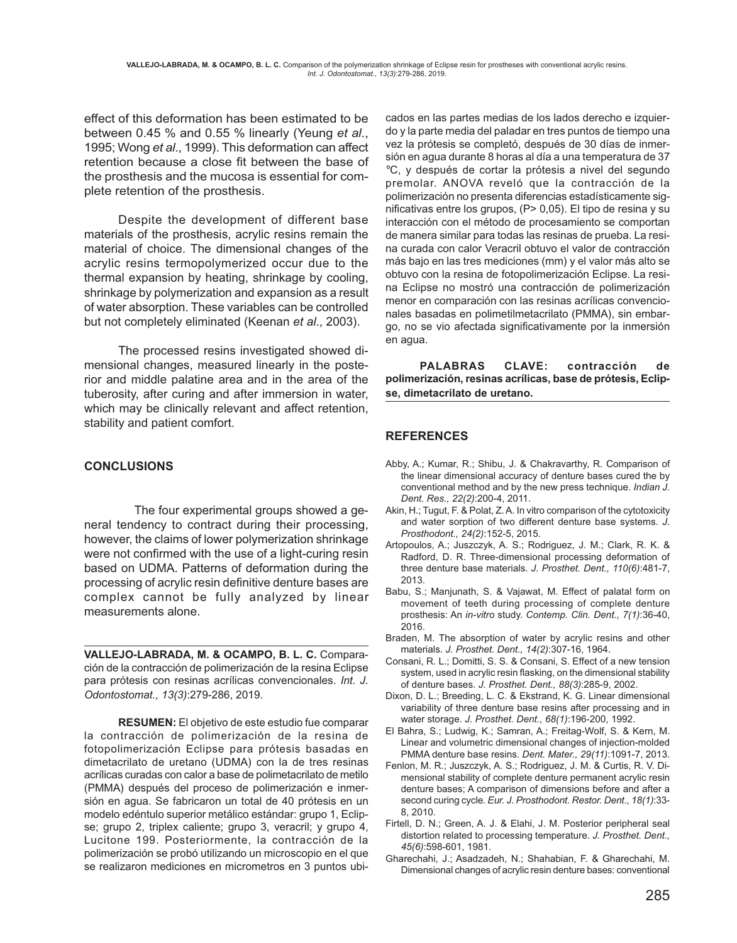effect of this deformation has been estimated to be between 0.45 % and 0.55 % linearly (Yeung *et al*., 1995; Wong *et al*., 1999). This deformation can affect retention because a close fit between the base of the prosthesis and the mucosa is essential for complete retention of the prosthesis.

Despite the development of different base materials of the prosthesis, acrylic resins remain the material of choice. The dimensional changes of the acrylic resins termopolymerized occur due to the thermal expansion by heating, shrinkage by cooling, shrinkage by polymerization and expansion as a result of water absorption. These variables can be controlled but not completely eliminated (Keenan *et al*., 2003).

The processed resins investigated showed dimensional changes, measured linearly in the posterior and middle palatine area and in the area of the tuberosity, after curing and after immersion in water, which may be clinically relevant and affect retention, stability and patient comfort.

## **CONCLUSIONS**

 The four experimental groups showed a general tendency to contract during their processing, however, the claims of lower polymerization shrinkage were not confirmed with the use of a light-curing resin based on UDMA. Patterns of deformation during the processing of acrylic resin definitive denture bases are complex cannot be fully analyzed by linear measurements alone.

**VALLEJO-LABRADA, M. & OCAMPO, B. L. C.** Comparación de la contracción de polimerización de la resina Eclipse para prótesis con resinas acrílicas convencionales. *Int. J. Odontostomat., 13(3)*:279-286, 2019.

**RESUMEN:** El objetivo de este estudio fue comparar la contracción de polimerización de la resina de fotopolimerización Eclipse para prótesis basadas en dimetacrilato de uretano (UDMA) con la de tres resinas acrílicas curadas con calor a base de polimetacrilato de metilo (PMMA) después del proceso de polimerización e inmersión en agua. Se fabricaron un total de 40 prótesis en un modelo edéntulo superior metálico estándar: grupo 1, Eclipse; grupo 2, triplex caliente; grupo 3, veracril; y grupo 4, Lucitone 199. Posteriormente, la contracción de la polimerización se probó utilizando un microscopio en el que se realizaron mediciones en micrometros en 3 puntos ubicados en las partes medias de los lados derecho e izquierdo y la parte media del paladar en tres puntos de tiempo una vez la prótesis se completó, después de 30 días de inmersión en agua durante 8 horas al día a una temperatura de 37 °C, y después de cortar la prótesis a nivel del segundo premolar. ANOVA reveló que la contracción de la polimerización no presenta diferencias estadísticamente significativas entre los grupos, (P> 0,05). El tipo de resina y su interacción con el método de procesamiento se comportan de manera similar para todas las resinas de prueba. La resina curada con calor Veracril obtuvo el valor de contracción más bajo en las tres mediciones (mm) y el valor más alto se obtuvo con la resina de fotopolimerización Eclipse. La resina Eclipse no mostró una contracción de polimerización menor en comparación con las resinas acrílicas convencionales basadas en polimetilmetacrilato (PMMA), sin embargo, no se vio afectada significativamente por la inmersión en agua.

**PALABRAS CLAVE: contracción de polimerización, resinas acrílicas, base de prótesis, Eclipse, dimetacrilato de uretano.**

# **REFERENCES**

- Abby, A.; Kumar, R.; Shibu, J. & Chakravarthy, R. Comparison of the linear dimensional accuracy of denture bases cured the by conventional method and by the new press technique. *Indian J. Dent. Res., 22(2)*:200-4, 2011.
- Akin, H.; Tugut, F. & Polat, Z. A. In vitro comparison of the cytotoxicity and water sorption of two different denture base systems. *J. Prosthodont., 24(2)*:152-5, 2015.
- Artopoulos, A.; Juszczyk, A. S.; Rodriguez, J. M.; Clark, R. K. & Radford, D. R. Three-dimensional processing deformation of three denture base materials. *J. Prosthet. Dent., 110(6)*:481-7, 2013.
- Babu, S.; Manjunath, S. & Vajawat, M. Effect of palatal form on movement of teeth during processing of complete denture prosthesis: An *in-vitro* study. *Contemp. Clin. Dent., 7(1)*:36-40, 2016.
- Braden, M. The absorption of water by acrylic resins and other materials. *J. Prosthet. Dent., 14(2)*:307-16, 1964.
- Consani, R. L.; Domitti, S. S. & Consani, S. Effect of a new tension system, used in acrylic resin flasking, on the dimensional stability of denture bases. *J. Prosthet. Dent., 88(3)*:285-9, 2002.
- Dixon, D. L.; Breeding, L. C. & Ekstrand, K. G. Linear dimensional variability of three denture base resins after processing and in water storage. *J. Prosthet. Dent., 68(1)*:196-200, 1992.
- El Bahra, S.; Ludwig, K.; Samran, A.; Freitag-Wolf, S. & Kern, M. Linear and volumetric dimensional changes of injection-molded PMMA denture base resins. *Dent. Mater., 29(11)*:1091-7, 2013.
- Fenlon, M. R.; Juszczyk, A. S.; Rodriguez, J. M. & Curtis, R. V. Dimensional stability of complete denture permanent acrylic resin denture bases; A comparison of dimensions before and after a second curing cycle. *Eur. J. Prosthodont. Restor. Dent., 18(1)*:33- 8, 2010.
- Firtell, D. N.; Green, A. J. & Elahi, J. M. Posterior peripheral seal distortion related to processing temperature. *J. Prosthet. Dent., 45(6)*:598-601, 1981.
- Gharechahi, J.; Asadzadeh, N.; Shahabian, F. & Gharechahi, M. Dimensional changes of acrylic resin denture bases: conventional